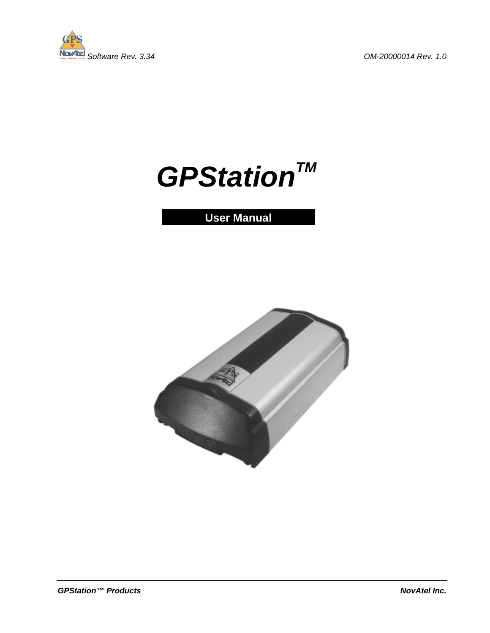

# GPStation<sup>TM</sup>

## **User Manual**

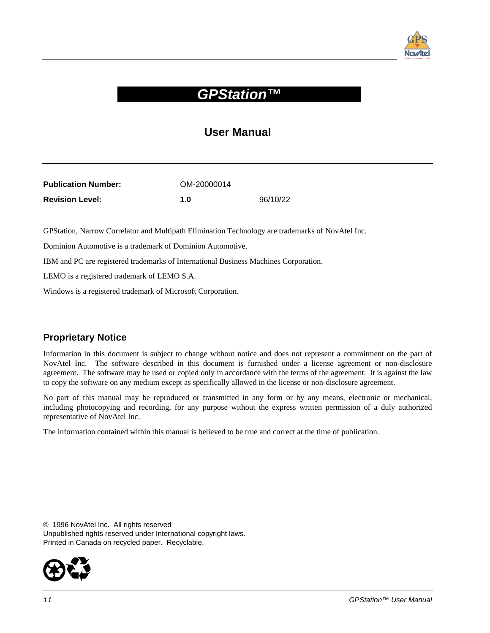

## **GPStation™**

#### **User Manual**

| <b>Publication Number:</b> | OM-20000014 |          |
|----------------------------|-------------|----------|
| <b>Revision Level:</b>     | 1.0         | 96/10/22 |

GPStation, Narrow Correlator and Multipath Elimination Technology are trademarks of NovAtel Inc.

Dominion Automotive is a trademark of Dominion Automotive.

IBM and PC are registered trademarks of International Business Machines Corporation.

LEMO is a registered trademark of LEMO S.A.

Windows is a registered trademark of Microsoft Corporation.

#### **Proprietary Notice**

Information in this document is subject to change without notice and does not represent a commitment on the part of NovAtel Inc. The software described in this document is furnished under a license agreement or non-disclosure agreement. The software may be used or copied only in accordance with the terms of the agreement. It is against the law to copy the software on any medium except as specifically allowed in the license or non-disclosure agreement.

No part of this manual may be reproduced or transmitted in any form or by any means, electronic or mechanical, including photocopying and recording, for any purpose without the express written permission of a duly authorized representative of NovAtel Inc.

The information contained within this manual is believed to be true and correct at the time of publication.

© 1996 NovAtel Inc. All rights reserved Unpublished rights reserved under International copyright laws. Printed in Canada on recycled paper. Recyclable.

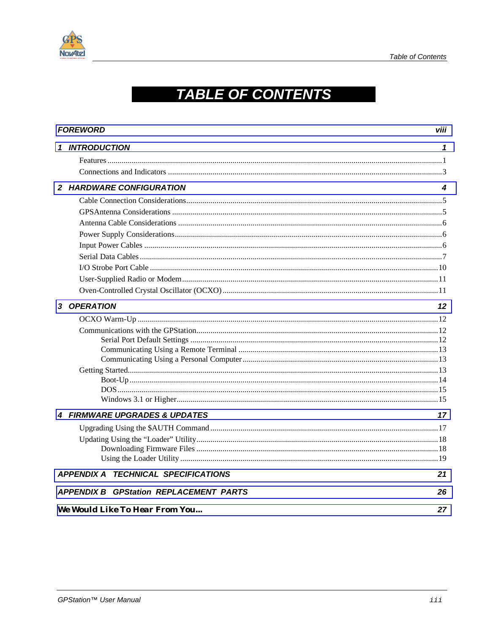

## **TABLE OF CONTENTS**

| <b>FOREWORD</b><br>viii                       |    |
|-----------------------------------------------|----|
| <b>INTRODUCTION</b>                           | 1  |
|                                               |    |
|                                               |    |
| 2 HARDWARE CONFIGURATION                      | 4  |
|                                               |    |
|                                               |    |
|                                               |    |
|                                               |    |
|                                               |    |
|                                               |    |
|                                               |    |
|                                               |    |
|                                               |    |
| 3 OPERATION                                   | 12 |
|                                               |    |
|                                               |    |
|                                               |    |
|                                               |    |
|                                               |    |
|                                               |    |
|                                               |    |
|                                               |    |
| 4 FIRMWARE UPGRADES & UPDATES                 | 17 |
|                                               |    |
|                                               |    |
|                                               |    |
|                                               |    |
| <b>APPENDIX A TECHNICAL SPECIFICATIONS</b>    | 21 |
| <b>APPENDIX B GPStation REPLACEMENT PARTS</b> | 26 |
| <b>We Would Like To Hear From You</b>         | 27 |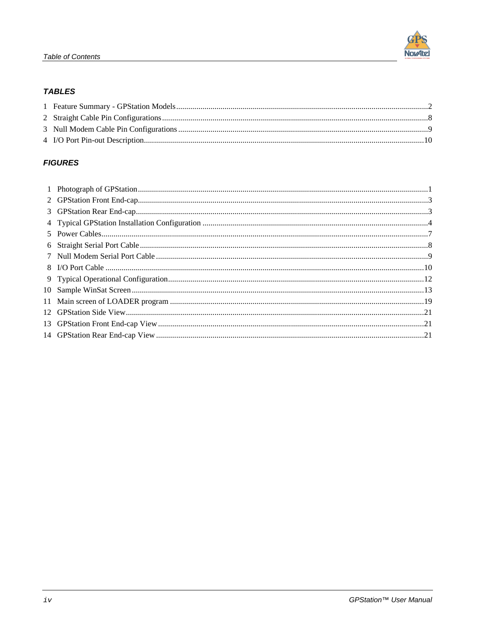#### **TABLES**

#### **FIGURES**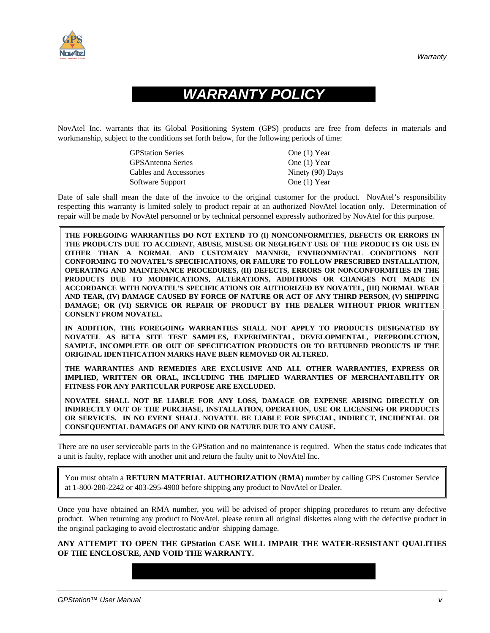

## **WARRANTY POLICY**

NovAtel Inc. warrants that its Global Positioning System (GPS) products are free from defects in materials and workmanship, subject to the conditions set forth below, for the following periods of time:

| <b>GPStation Series</b>   | One (1) Year     |
|---------------------------|------------------|
| <b>GPS</b> Antenna Series | One $(1)$ Year   |
| Cables and Accessories    | Ninety (90) Days |
| Software Support          | One (1) Year     |

Date of sale shall mean the date of the invoice to the original customer for the product. NovAtel's responsibility respecting this warranty is limited solely to product repair at an authorized NovAtel location only. Determination of repair will be made by NovAtel personnel or by technical personnel expressly authorized by NovAtel for this purpose.

**THE FOREGOING WARRANTIES DO NOT EXTEND TO (I) NONCONFORMITIES, DEFECTS OR ERRORS IN THE PRODUCTS DUE TO ACCIDENT, ABUSE, MISUSE OR NEGLIGENT USE OF THE PRODUCTS OR USE IN OTHER THAN A NORMAL AND CUSTOMARY MANNER, ENVIRONMENTAL CONDITIONS NOT CONFORMING TO NOVATEL'S SPECIFICATIONS, OR FAILURE TO FOLLOW PRESCRIBED INSTALLATION, OPERATING AND MAINTENANCE PROCEDURES, (II) DEFECTS, ERRORS OR NONCONFORMITIES IN THE PRODUCTS DUE TO MODIFICATIONS, ALTERATIONS, ADDITIONS OR CHANGES NOT MADE IN ACCORDANCE WITH NOVATEL'S SPECIFICATIONS OR AUTHORIZED BY NOVATEL, (III) NORMAL WEAR AND TEAR, (IV) DAMAGE CAUSED BY FORCE OF NATURE OR ACT OF ANY THIRD PERSON, (V) SHIPPING DAMAGE; OR (VI) SERVICE OR REPAIR OF PRODUCT BY THE DEALER WITHOUT PRIOR WRITTEN CONSENT FROM NOVATEL.** 

**IN ADDITION, THE FOREGOING WARRANTIES SHALL NOT APPLY TO PRODUCTS DESIGNATED BY NOVATEL AS BETA SITE TEST SAMPLES, EXPERIMENTAL, DEVELOPMENTAL, PREPRODUCTION, SAMPLE, INCOMPLETE OR OUT OF SPECIFICATION PRODUCTS OR TO RETURNED PRODUCTS IF THE ORIGINAL IDENTIFICATION MARKS HAVE BEEN REMOVED OR ALTERED.** 

**THE WARRANTIES AND REMEDIES ARE EXCLUSIVE AND ALL OTHER WARRANTIES, EXPRESS OR IMPLIED, WRITTEN OR ORAL, INCLUDING THE IMPLIED WARRANTIES OF MERCHANTABILITY OR FITNESS FOR ANY PARTICULAR PURPOSE ARE EXCLUDED.** 

**NOVATEL SHALL NOT BE LIABLE FOR ANY LOSS, DAMAGE OR EXPENSE ARISING DIRECTLY OR INDIRECTLY OUT OF THE PURCHASE, INSTALLATION, OPERATION, USE OR LICENSING OR PRODUCTS OR SERVICES. IN NO EVENT SHALL NOVATEL BE LIABLE FOR SPECIAL, INDIRECT, INCIDENTAL OR CONSEQUENTIAL DAMAGES OF ANY KIND OR NATURE DUE TO ANY CAUSE.**

There are no user serviceable parts in the GPStation and no maintenance is required. When the status code indicates that a unit is faulty, replace with another unit and return the faulty unit to NovAtel Inc.

You must obtain a **RETURN MATERIAL AUTHORIZATION** (**RMA**) number by calling GPS Customer Service at 1-800-280-2242 or 403-295-4900 before shipping any product to NovAtel or Dealer.

Once you have obtained an RMA number, you will be advised of proper shipping procedures to return any defective product. When returning any product to NovAtel, please return all original diskettes along with the defective product in the original packaging to avoid electrostatic and/or shipping damage.

#### **ANY ATTEMPT TO OPEN THE GPStation CASE WILL IMPAIR THE WATER-RESISTANT QUALITIES OF THE ENCLOSURE, AND VOID THE WARRANTY.**

GPStation™ User Manual versus and versus and versus and versus and versus and versus and versus and versus and v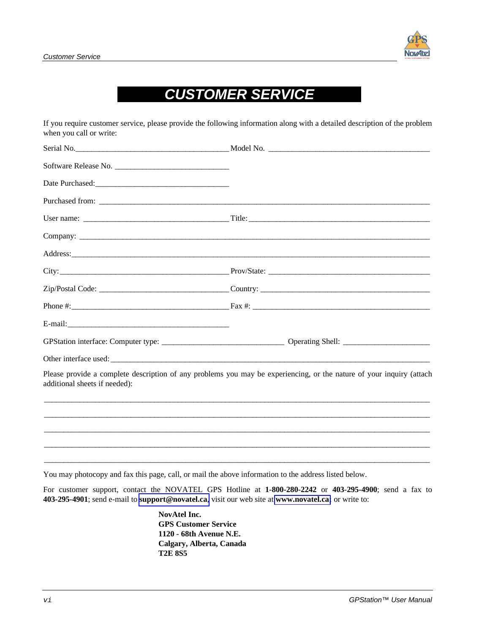**Nov4te** 

## **CUSTOMER SERVICE**

If you require customer service, please provide the following information along with a detailed description of the problem when you call or write:

| Date Purchased:<br><u>Date Purchased:</u> |                                                                                                                      |
|-------------------------------------------|----------------------------------------------------------------------------------------------------------------------|
|                                           |                                                                                                                      |
|                                           |                                                                                                                      |
|                                           |                                                                                                                      |
|                                           |                                                                                                                      |
|                                           |                                                                                                                      |
|                                           |                                                                                                                      |
|                                           |                                                                                                                      |
|                                           |                                                                                                                      |
|                                           |                                                                                                                      |
|                                           |                                                                                                                      |
| additional sheets if needed):             | Please provide a complete description of any problems you may be experiencing, or the nature of your inquiry (attach |
|                                           |                                                                                                                      |
|                                           |                                                                                                                      |
|                                           |                                                                                                                      |
|                                           |                                                                                                                      |

You may photocopy and fax this page, call, or mail the above information to the address listed below.

For customer support, contact the NOVATEL GPS Hotline at **1-800-280-2242** or **403-295-4900**; send a fax to **403-295-4901**; send e-mail to **[support@novatel.ca](mailto:support@novatel.ca)**, visit our web site at **[www.novatel.ca;](www.novatel.ca)** or write to:

> **NovAtel Inc. GPS Customer Service 1120 - 68th Avenue N.E. Calgary, Alberta, Canada T2E 8S5**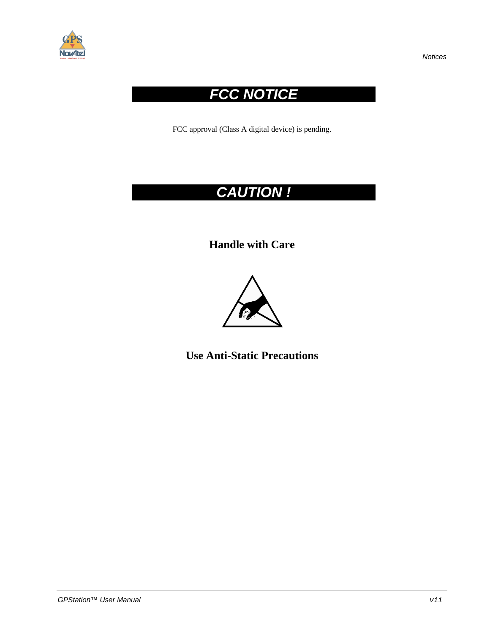

## **FCC NOTICE**

FCC approval (Class A digital device) is pending.

## **CAUTION !**

**Handle with Care** 



**Use Anti-Static Precautions**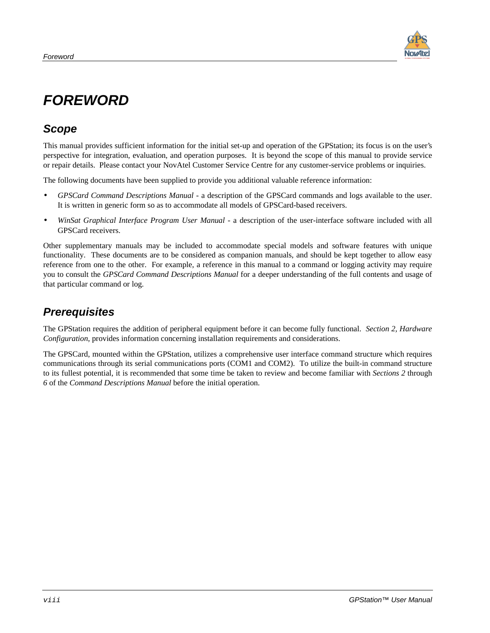

## <span id="page-7-0"></span>**FOREWORD**

#### **Scope**

This manual provides sufficient information for the initial set-up and operation of the GPStation; its focus is on the user's perspective for integration, evaluation, and operation purposes. It is beyond the scope of this manual to provide service or repair details. Please contact your NovAtel Customer Service Centre for any customer-service problems or inquiries.

The following documents have been supplied to provide you additional valuable reference information:

- *GPSCard Command Descriptions Manual* a description of the GPSCard commands and logs available to the user. It is written in generic form so as to accommodate all models of GPSCard-based receivers.
- *WinSat Graphical Interface Program User Manual* a description of the user-interface software included with all GPSCard receivers.

Other supplementary manuals may be included to accommodate special models and software features with unique functionality. These documents are to be considered as companion manuals, and should be kept together to allow easy reference from one to the other. For example, a reference in this manual to a command or logging activity may require you to consult the *GPSCard Command Descriptions Manual* for a deeper understanding of the full contents and usage of that particular command or log.

#### **Prerequisites**

The GPStation requires the addition of peripheral equipment before it can become fully functional. *Section 2, Hardware Configuration*, provides information concerning installation requirements and considerations.

The GPSCard, mounted within the GPStation, utilizes a comprehensive user interface command structure which requires communications through its serial communications ports (COM1 and COM2). To utilize the built-in command structure to its fullest potential, it is recommended that some time be taken to review and become familiar with *Sections 2* through *6* of the *Command Descriptions Manual* before the initial operation.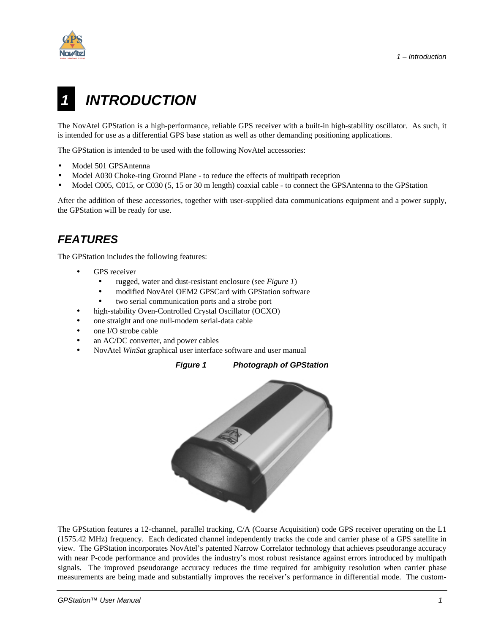<span id="page-8-0"></span>

## **INTRODUCTION**

The NovAtel GPStation is a high-performance, reliable GPS receiver with a built-in high-stability oscillator. As such, it is intended for use as a differential GPS base station as well as other demanding positioning applications.

The GPStation is intended to be used with the following NovAtel accessories:

- Model 501 GPSAntenna
- Model A030 Choke-ring Ground Plane to reduce the effects of multipath reception
- Model C005, C015, or C030 (5, 15 or 30 m length) coaxial cable to connect the GPSAntenna to the GPStation

After the addition of these accessories, together with user-supplied data communications equipment and a power supply, the GPStation will be ready for use.

## **FEATURES**

The GPStation includes the following features:

- GPS receiver
	- rugged, water and dust-resistant enclosure (see *Figure 1*)
	- modified NovAtel OEM2 GPSCard with GPStation software
	- two serial communication ports and a strobe port
- high-stability Oven-Controlled Crystal Oscillator (OCXO)
- one straight and one null-modem serial-data cable
- one I/O strobe cable
- an AC/DC converter, and power cables
- NovAtel *WinSat* graphical user interface software and user manual

**Figure 1 Photograph of GPStation** 



The GPStation features a 12-channel, parallel tracking, C/A (Coarse Acquisition) code GPS receiver operating on the L1 (1575.42 MHz) frequency. Each dedicated channel independently tracks the code and carrier phase of a GPS satellite in view. The GPStation incorporates NovAtel's patented Narrow Correlator technology that achieves pseudorange accuracy with near P-code performance and provides the industry's most robust resistance against errors introduced by multipath signals. The improved pseudorange accuracy reduces the time required for ambiguity resolution when carrier phase measurements are being made and substantially improves the receiver's performance in differential mode. The custom-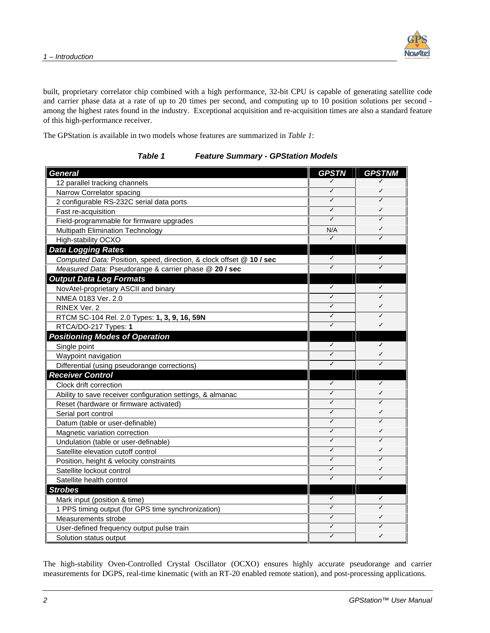

built, proprietary correlator chip combined with a high performance, 32-bit CPU is capable of generating satellite code and carrier phase data at a rate of up to 20 times per second, and computing up to 10 position solutions per second among the highest rates found in the industry. Exceptional acquisition and re-acquisition times are also a standard feature of this high-performance receiver.

The GPStation is available in two models whose features are summarized in *Table 1*:

**Table 1 Feature Summary - GPStation Models** 

| <b>General</b>                                                       | <b>GPSTN</b> | <b>GPSTNM</b> |
|----------------------------------------------------------------------|--------------|---------------|
| 12 parallel tracking channels                                        |              |               |
| Narrow Correlator spacing                                            | ✓            | ✓             |
| 2 configurable RS-232C serial data ports                             | ✓            | ✓             |
| Fast re-acquisition                                                  | ✓            | ✓             |
| Field-programmable for firmware upgrades                             | J            | ✓             |
| Multipath Elimination Technology                                     | N/A          | ✓             |
| High-stability OCXO                                                  | ✓            | ✓             |
| <b>Data Logging Rates</b>                                            |              |               |
| Computed Data: Position, speed, direction, & clock offset @ 10 / sec | ✓            | ✓             |
| Measured Data: Pseudorange & carrier phase @ 20 / sec                | ✓            | ✓             |
| <b>Output Data Log Formats</b>                                       |              |               |
| NovAtel-proprietary ASCII and binary                                 | ✓            | ✓             |
| NMEA 0183 Ver. 2.0                                                   | ✓            | ✓             |
| RINEX Ver. 2                                                         | ✓            | ✓             |
| RTCM SC-104 Rel. 2.0 Types: 1, 3, 9, 16, 59N                         | ✓            | ✓             |
| RTCA/DO-217 Types: 1                                                 | J            | ✓             |
| <b>Positioning Modes of Operation</b>                                |              |               |
| Single point                                                         | ✓            | ✓             |
| Waypoint navigation                                                  | ✓            | ✓             |
| Differential (using pseudorange corrections)                         | ✓            | ✓             |
| <b>Receiver Control</b>                                              |              |               |
| Clock drift correction                                               | ✓            | ✓             |
| Ability to save receiver configuration settings, & almanac           | ✓            | ✓             |
| Reset (hardware or firmware activated)                               | ✓            | ✓             |
| Serial port control                                                  | ✓            | ✓             |
| Datum (table or user-definable)                                      | J            | ✓             |
| Magnetic variation correction                                        | ✓            | ✓             |
| Undulation (table or user-definable)                                 | ✓            | ✓             |
| Satellite elevation cutoff control                                   | ✓            | ✓             |
| Position, height & velocity constraints                              | J            | ✓             |
| Satellite lockout control                                            | ✓            | ✓             |
| Satellite health control                                             | ✓            | ✓             |
| <b>Strobes</b>                                                       |              |               |
| Mark input (position & time)                                         | ✓            | ✓             |
| 1 PPS timing output (for GPS time synchronization)                   | J            | ✓             |
| Measurements strobe                                                  | J            | ✓             |
| User-defined frequency output pulse train                            | ✓            | ✓             |
| Solution status output                                               | ✓            | ✓             |

The high-stability Oven-Controlled Crystal Oscillator (OCXO) ensures highly accurate pseudorange and carrier measurements for DGPS, real-time kinematic (with an RT-20 enabled remote station), and post-processing applications.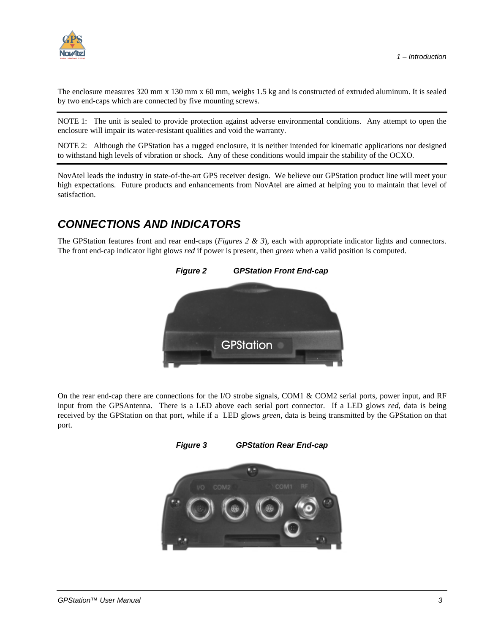

The enclosure measures 320 mm x 130 mm x 60 mm, weighs 1.5 kg and is constructed of extruded aluminum. It is sealed by two end-caps which are connected by five mounting screws.

NOTE 1: The unit is sealed to provide protection against adverse environmental conditions. Any attempt to open the enclosure will impair its water-resistant qualities and void the warranty.

NOTE 2: Although the GPStation has a rugged enclosure, it is neither intended for kinematic applications nor designed to withstand high levels of vibration or shock. Any of these conditions would impair the stability of the OCXO.

NovAtel leads the industry in state-of-the-art GPS receiver design. We believe our GPStation product line will meet your high expectations. Future products and enhancements from NovAtel are aimed at helping you to maintain that level of satisfaction.

#### **CONNECTIONS AND INDICATORS**

The GPStation features front and rear end-caps (*Figures 2 & 3*), each with appropriate indicator lights and connectors. The front end-cap indicator light glows *red* if power is present, then *green* when a valid position is computed.



On the rear end-cap there are connections for the I/O strobe signals, COM1 & COM2 serial ports, power input, and RF input from the GPSAntenna. There is a LED above each serial port connector. If a LED glows *red*, data is being received by the GPStation on that port, while if a LED glows *green*, data is being transmitted by the GPStation on that port.

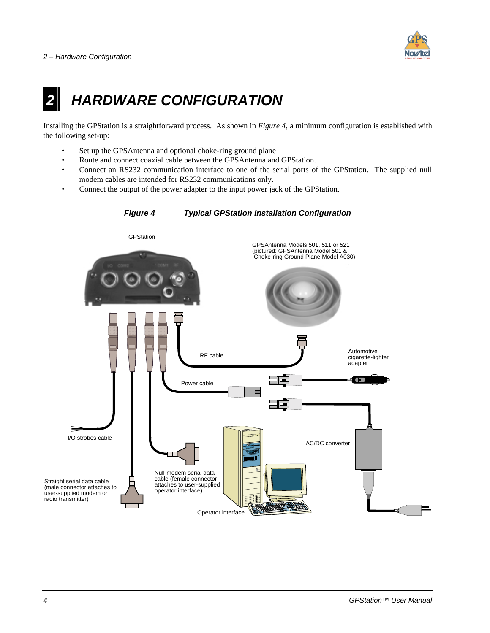

## <span id="page-11-0"></span>**2 HARDWARE CONFIGURATION**

Installing the GPStation is a straightforward process. As shown in *Figure 4*, a minimum configuration is established with the following set-up:

- Set up the GPSAntenna and optional choke-ring ground plane
- Route and connect coaxial cable between the GPSAntenna and GPStation.
- Connect an RS232 communication interface to one of the serial ports of the GPStation. The supplied null modem cables are intended for RS232 communications only.
- Connect the output of the power adapter to the input power jack of the GPStation.

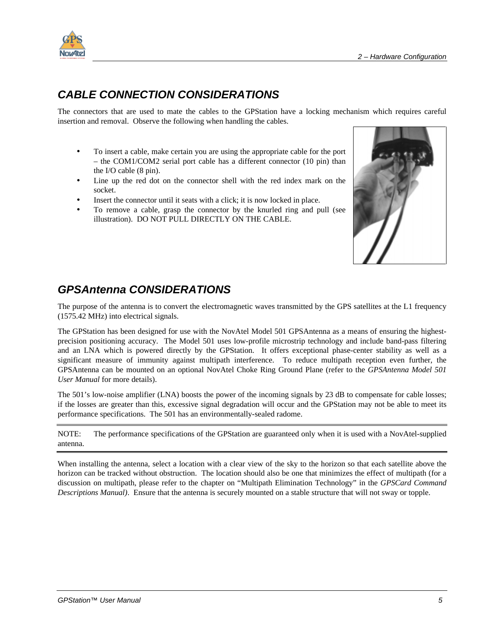#### **CABLE CONNECTION CONSIDERATIONS**

The connectors that are used to mate the cables to the GPStation have a locking mechanism which requires careful insertion and removal. Observe the following when handling the cables.

- To insert a cable, make certain you are using the appropriate cable for the port – the COM1/COM2 serial port cable has a different connector (10 pin) than the I/O cable (8 pin).
- Line up the red dot on the connector shell with the red index mark on the socket.
- Insert the connector until it seats with a click; it is now locked in place.
- To remove a cable, grasp the connector by the knurled ring and pull (see illustration). DO NOT PULL DIRECTLY ON THE CABLE.



### **GPSAntenna CONSIDERATIONS**

The purpose of the antenna is to convert the electromagnetic waves transmitted by the GPS satellites at the L1 frequency (1575.42 MHz) into electrical signals.

The GPStation has been designed for use with the NovAtel Model 501 GPSAntenna as a means of ensuring the highestprecision positioning accuracy. The Model 501 uses low-profile microstrip technology and include band-pass filtering and an LNA which is powered directly by the GPStation. It offers exceptional phase-center stability as well as a significant measure of immunity against multipath interference. To reduce multipath reception even further, the GPSAntenna can be mounted on an optional NovAtel Choke Ring Ground Plane (refer to the *GPSAntenna Model 501 User Manual* for more details).

The 501's low-noise amplifier (LNA) boosts the power of the incoming signals by 23 dB to compensate for cable losses; if the losses are greater than this, excessive signal degradation will occur and the GPStation may not be able to meet its performance specifications. The 501 has an environmentally-sealed radome.

NOTE: The performance specifications of the GPStation are guaranteed only when it is used with a NovAtel-supplied antenna.

When installing the antenna, select a location with a clear view of the sky to the horizon so that each satellite above the horizon can be tracked without obstruction. The location should also be one that minimizes the effect of multipath (for a discussion on multipath, please refer to the chapter on "Multipath Elimination Technology" in the *GPSCard Command Descriptions Manual)*. Ensure that the antenna is securely mounted on a stable structure that will not sway or topple.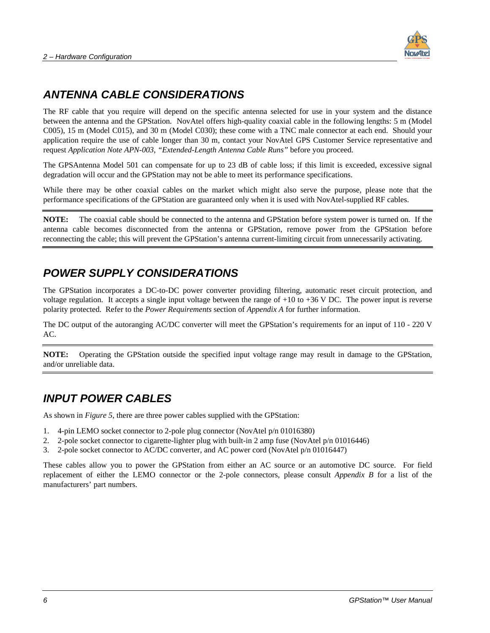

#### **ANTENNA CABLE CONSIDERATIONS**

The RF cable that you require will depend on the specific antenna selected for use in your system and the distance between the antenna and the GPStation. NovAtel offers high-quality coaxial cable in the following lengths: 5 m (Model C005), 15 m (Model C015), and 30 m (Model C030); these come with a TNC male connector at each end. Should your application require the use of cable longer than 30 m, contact your NovAtel GPS Customer Service representative and request *Application Note APN-003*, *"Extended-Length Antenna Cable Runs"* before you proceed.

The GPSAntenna Model 501 can compensate for up to 23 dB of cable loss; if this limit is exceeded, excessive signal degradation will occur and the GPStation may not be able to meet its performance specifications.

While there may be other coaxial cables on the market which might also serve the purpose, please note that the performance specifications of the GPStation are guaranteed only when it is used with NovAtel-supplied RF cables.

**NOTE:** The coaxial cable should be connected to the antenna and GPStation before system power is turned on. If the antenna cable becomes disconnected from the antenna or GPStation, remove power from the GPStation before reconnecting the cable; this will prevent the GPStation's antenna current-limiting circuit from unnecessarily activating.

#### **POWER SUPPLY CONSIDERATIONS**

The GPStation incorporates a DC-to-DC power converter providing filtering, automatic reset circuit protection, and voltage regulation. It accepts a single input voltage between the range of +10 to +36 V DC. The power input is reverse polarity protected. Refer to the *Power Requirements* section of *Appendix A* for further information.

The DC output of the autoranging AC/DC converter will meet the GPStation's requirements for an input of 110 - 220 V AC.

**NOTE:** Operating the GPStation outside the specified input voltage range may result in damage to the GPStation, and/or unreliable data.

#### **INPUT POWER CABLES**

As shown in *Figure 5*, there are three power cables supplied with the GPStation:

- 1. 4-pin LEMO socket connector to 2-pole plug connector (NovAtel p/n 01016380)
- 2. 2-pole socket connector to cigarette-lighter plug with built-in 2 amp fuse (NovAtel p/n 01016446)
- 3. 2-pole socket connector to AC/DC converter, and AC power cord (NovAtel p/n 01016447)

These cables allow you to power the GPStation from either an AC source or an automotive DC source. For field replacement of either the LEMO connector or the 2-pole connectors, please consult *Appendix B* for a list of the manufacturers' part numbers.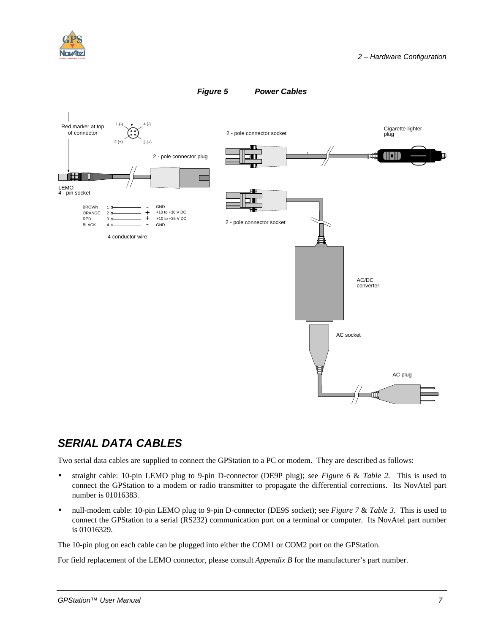



#### **SERIAL DATA CABLES**

Two serial data cables are supplied to connect the GPStation to a PC or modem. They are described as follows:

- straight cable: 10-pin LEMO plug to 9-pin D-connector (DE9P plug); see *Figure 6* & *Table 2.* This is used to connect the GPStation to a modem or radio transmitter to propagate the differential corrections. Its NovAtel part number is 01016383.
- null-modem cable: 10-pin LEMO plug to 9-pin D-connector (DE9S socket); see *Figure 7* & *Table 3*. This is used to connect the GPStation to a serial (RS232) communication port on a terminal or computer. Its NovAtel part number is 01016329.

The 10-pin plug on each cable can be plugged into either the COM1 or COM2 port on the GPStation.

For field replacement of the LEMO connector, please consult *Appendix B* for the manufacturer's part number.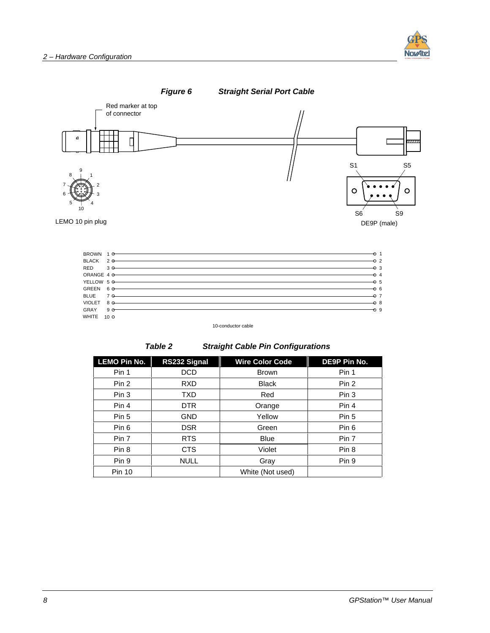





10-conductor cable

|  | abir |  |  |
|--|------|--|--|
|--|------|--|--|

**Straight Cable Pin Configurations** 

| <b>LEMO Pin No.</b> | RS232 Signal | <b>Wire Color Code</b> | DE9P Pin No.     |
|---------------------|--------------|------------------------|------------------|
| Pin 1               | <b>DCD</b>   | <b>Brown</b>           | Pin 1            |
| Pin 2               | <b>RXD</b>   | <b>Black</b>           | Pin 2            |
| Pin 3               | TXD          | Red                    | Pin 3            |
| Pin 4               | DTR.         | Orange                 | Pin 4            |
| Pin 5               | <b>GND</b>   | Yellow                 | Pin 5            |
| Pin 6               | <b>DSR</b>   | Green                  | Pin 6            |
| Pin 7               | <b>RTS</b>   | <b>Blue</b>            | Pin 7            |
| Pin 8               | CTS          | Violet                 | Pin <sub>8</sub> |
| Pin 9               | <b>NULL</b>  | Gray                   | Pin 9            |
| <b>Pin 10</b>       |              | White (Not used)       |                  |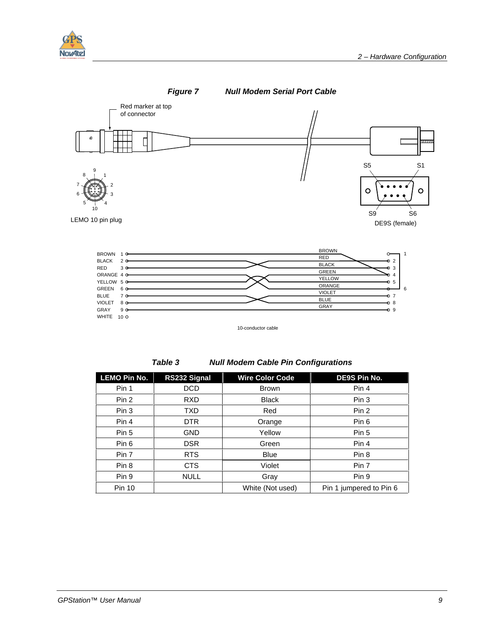





10-conductor cable

**Table 3 Null Modem Cable Pin Configurations** 

| <b>LEMO Pin No.</b> | RS232 Signal | <b>Wire Color Code</b> | DE9S Pin No.            |
|---------------------|--------------|------------------------|-------------------------|
| Pin 1               | <b>DCD</b>   | <b>Brown</b>           | Pin 4                   |
| Pin 2               | <b>RXD</b>   | <b>Black</b>           | Pin 3                   |
| Pin 3               | <b>TXD</b>   | Red                    | Pin 2                   |
| Pin 4               | <b>DTR</b>   | Orange                 | Pin <sub>6</sub>        |
| Pin 5               | <b>GND</b>   | Yellow                 | Pin 5                   |
| Pin 6               | <b>DSR</b>   | Green                  | Pin 4                   |
| Pin 7               | <b>RTS</b>   | <b>Blue</b>            | Pin <sub>8</sub>        |
| Pin 8               | <b>CTS</b>   | Violet                 | Pin 7                   |
| Pin 9               | <b>NULL</b>  | Gray                   | Pin 9                   |
| <b>Pin 10</b>       |              | White (Not used)       | Pin 1 jumpered to Pin 6 |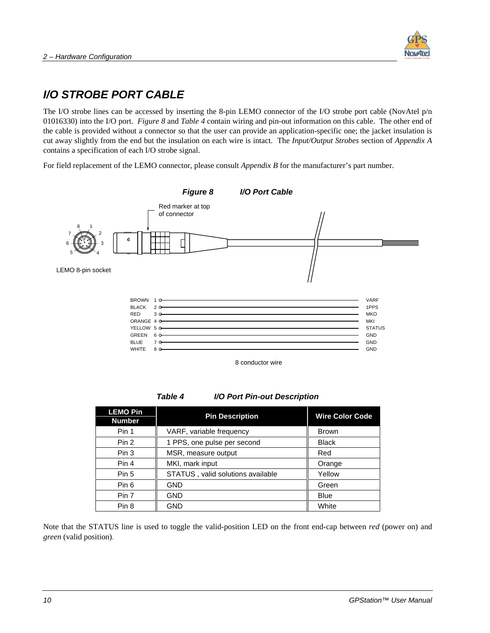

### **I/O STROBE PORT CABLE**

The I/O strobe lines can be accessed by inserting the 8-pin LEMO connector of the I/O strobe port cable (NovAtel p/n 01016330) into the I/O port. *Figure 8* and *Table 4* contain wiring and pin-out information on this cable. The other end of the cable is provided without a connector so that the user can provide an application-specific one; the jacket insulation is cut away slightly from the end but the insulation on each wire is intact. The *Input/Output Strobes* section of *Appendix A* contains a specification of each I/O strobe signal.

For field replacement of the LEMO connector, please consult *Appendix B* for the manufacturer's part number.



8 conductor wire

#### **Table 4 I/O Port Pin-out Description**

| <b>LEMO Pin</b><br><b>Number</b> | <b>Pin Description</b>            | <b>Wire Color Code</b> |
|----------------------------------|-----------------------------------|------------------------|
| Pin 1                            | VARF, variable frequency          | <b>Brown</b>           |
| Pin 2                            | 1 PPS, one pulse per second       | <b>Black</b>           |
| Pin 3                            | MSR, measure output               | Red                    |
| Pin 4                            | MKI, mark input                   | Orange                 |
| Pin 5                            | STATUS, valid solutions available | Yellow                 |
| Pin 6                            | <b>GND</b>                        | Green                  |
| Pin 7                            | <b>GND</b>                        | <b>Blue</b>            |
| Pin 8                            | GND                               | White                  |

Note that the STATUS line is used to toggle the valid-position LED on the front end-cap between *red* (power on) and *green* (valid position).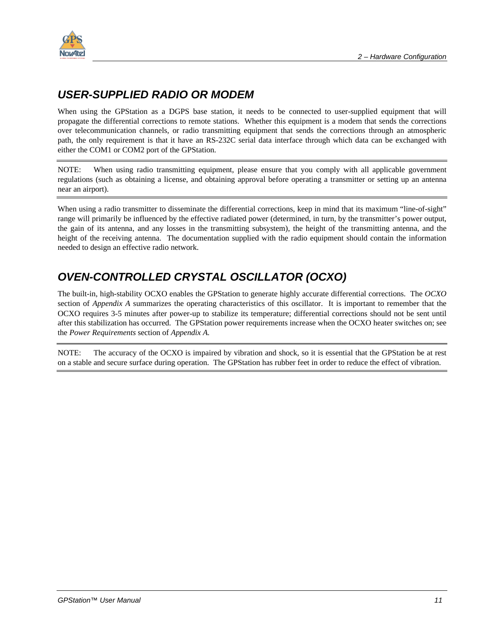

### **USER-SUPPLIED RADIO OR MODEM**

When using the GPStation as a DGPS base station, it needs to be connected to user-supplied equipment that will propagate the differential corrections to remote stations. Whether this equipment is a modem that sends the corrections over telecommunication channels, or radio transmitting equipment that sends the corrections through an atmospheric path, the only requirement is that it have an RS-232C serial data interface through which data can be exchanged with either the COM1 or COM2 port of the GPStation.

NOTE: When using radio transmitting equipment, please ensure that you comply with all applicable government regulations (such as obtaining a license, and obtaining approval before operating a transmitter or setting up an antenna near an airport).

When using a radio transmitter to disseminate the differential corrections, keep in mind that its maximum "line-of-sight" range will primarily be influenced by the effective radiated power (determined, in turn, by the transmitter's power output, the gain of its antenna, and any losses in the transmitting subsystem), the height of the transmitting antenna, and the height of the receiving antenna. The documentation supplied with the radio equipment should contain the information needed to design an effective radio network.

## **OVEN-CONTROLLED CRYSTAL OSCILLATOR (OCXO)**

The built-in, high-stability OCXO enables the GPStation to generate highly accurate differential corrections. The *OCXO* section of *Appendix A* summarizes the operating characteristics of this oscillator. It is important to remember that the OCXO requires 3-5 minutes after power-up to stabilize its temperature; differential corrections should not be sent until after this stabilization has occurred. The GPStation power requirements increase when the OCXO heater switches on; see the *Power Requirements* section of *Appendix A.*

NOTE: The accuracy of the OCXO is impaired by vibration and shock, so it is essential that the GPStation be at rest on a stable and secure surface during operation. The GPStation has rubber feet in order to reduce the effect of vibration.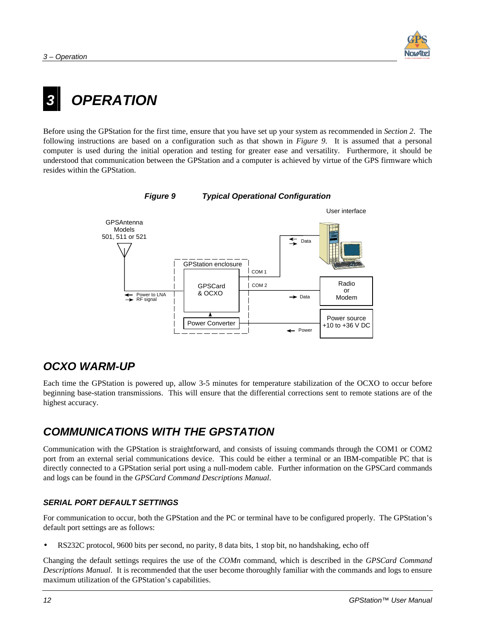

## <span id="page-19-0"></span>**3 OPERATION**

Before using the GPStation for the first time, ensure that you have set up your system as recommended in *Section 2*. The following instructions are based on a configuration such as that shown in *Figure 9*. It is assumed that a personal computer is used during the initial operation and testing for greater ease and versatility. Furthermore, it should be understood that communication between the GPStation and a computer is achieved by virtue of the GPS firmware which resides within the GPStation.



#### **Figure 9 Typical Operational Configuration**

#### **OCXO WARM-UP**

Each time the GPStation is powered up, allow 3-5 minutes for temperature stabilization of the OCXO to occur before beginning base-station transmissions. This will ensure that the differential corrections sent to remote stations are of the highest accuracy.

### **COMMUNICATIONS WITH THE GPSTATION**

Communication with the GPStation is straightforward, and consists of issuing commands through the COM1 or COM2 port from an external serial communications device. This could be either a terminal or an IBM-compatible PC that is directly connected to a GPStation serial port using a null-modem cable. Further information on the GPSCard commands and logs can be found in the *GPSCard Command Descriptions Manual*.

#### **SERIAL PORT DEFAULT SETTINGS**

For communication to occur, both the GPStation and the PC or terminal have to be configured properly. The GPStation's default port settings are as follows:

• RS232C protocol, 9600 bits per second, no parity, 8 data bits, 1 stop bit, no handshaking, echo off

Changing the default settings requires the use of the *COMn* command, which is described in the *GPSCard Command Descriptions Manual*. It is recommended that the user become thoroughly familiar with the commands and logs to ensure maximum utilization of the GPStation's capabilities.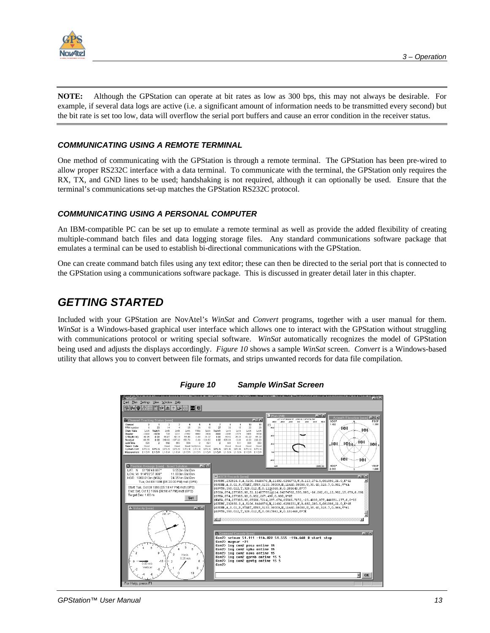

**NOTE:** Although the GPStation can operate at bit rates as low as 300 bps, this may not always be desirable. For example, if several data logs are active (i.e. a significant amount of information needs to be transmitted every second) but the bit rate is set too low, data will overflow the serial port buffers and cause an error condition in the receiver status.

#### **COMMUNICATING USING A REMOTE TERMINAL**

One method of communicating with the GPStation is through a remote terminal. The GPStation has been pre-wired to allow proper RS232C interface with a data terminal. To communicate with the terminal, the GPStation only requires the RX, TX, and GND lines to be used; handshaking is not required, although it can optionally be used. Ensure that the terminal's communications set-up matches the GPStation RS232C protocol.

#### **COMMUNICATING USING A PERSONAL COMPUTER**

An IBM-compatible PC can be set up to emulate a remote terminal as well as provide the added flexibility of creating multiple-command batch files and data logging storage files. Any standard communications software package that emulates a terminal can be used to establish bi-directional communications with the GPStation.

One can create command batch files using any text editor; these can then be directed to the serial port that is connected to the GPStation using a communications software package. This is discussed in greater detail later in this chapter.

#### **GETTING STARTED**

Included with your GPStation are NovAtel's *WinSat* and *Convert* programs, together with a user manual for them. *WinSat* is a Windows-based graphical user interface which allows one to interact with the GPStation without struggling with communications protocol or writing special software. *WinSat* automatically recognizes the model of GPStation being used and adjusts the displays accordingly. *Figure 10* shows a sample *WinSat* screen. *Convert* is a Windows-based utility that allows you to convert between file formats, and strips unwanted records for data file compilation.



**Figure 10 Sample WinSat Screen**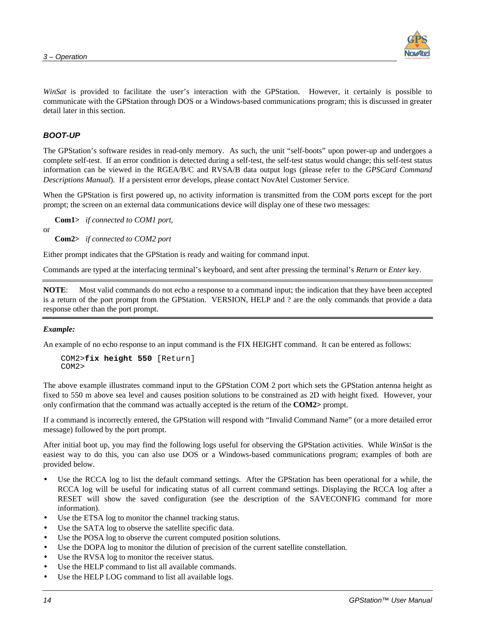

*WinSat* is provided to facilitate the user's interaction with the GPStation. However, it certainly is possible to communicate with the GPStation through DOS or a Windows-based communications program; this is discussed in greater detail later in this section.

#### **BOOT-UP**

The GPStation's software resides in read-only memory. As such, the unit "self-boots" upon power-up and undergoes a complete self-test. If an error condition is detected during a self-test, the self-test status would change; this self-test status information can be viewed in the RGEA/B/C and RVSA/B data output logs (please refer to the *GPSCard Command Descriptions Manual*). If a persistent error develops, please contact NovAtel Customer Service.

When the GPStation is first powered up, no activity information is transmitted from the COM ports except for the port prompt; the screen on an external data communications device will display one of these two messages:

 **Com1>** *if connected to COM1 port*,

or

 **Com2>** *if connected to COM2 port* 

Either prompt indicates that the GPStation is ready and waiting for command input.

Commands are typed at the interfacing terminal's keyboard, and sent after pressing the terminal's *Return* or *Enter* key.

**NOTE**: Most valid commands do not echo a response to a command input; the indication that they have been accepted is a return of the port prompt from the GPStation. VERSION, HELP and ? are the only commands that provide a data response other than the port prompt.

#### *Example:*

An example of no echo response to an input command is the FIX HEIGHT command. It can be entered as follows:

```
COM2>fix height 550 [Return] 
COM2>
```
The above example illustrates command input to the GPStation COM 2 port which sets the GPStation antenna height as fixed to 550 m above sea level and causes position solutions to be constrained as 2D with height fixed. However, your only confirmation that the command was actually accepted is the return of the **COM2>** prompt.

If a command is incorrectly entered, the GPStation will respond with "Invalid Command Name" (or a more detailed error message) followed by the port prompt.

After initial boot up, you may find the following logs useful for observing the GPStation activities. While *WinSat* is the easiest way to do this, you can also use DOS or a Windows-based communications program; examples of both are provided below.

- Use the RCCA log to list the default command settings. After the GPStation has been operational for a while, the RCCA log will be useful for indicating status of all current command settings. Displaying the RCCA log after a RESET will show the saved configuration (see the description of the SAVECONFIG command for more information).
- Use the ETSA log to monitor the channel tracking status.
- Use the SATA log to observe the satellite specific data.
- Use the POSA log to observe the current computed position solutions.
- Use the DOPA log to monitor the dilution of precision of the current satellite constellation.
- Use the RVSA log to monitor the receiver status.
- Use the HELP command to list all available commands.
- Use the HELP LOG command to list all available logs.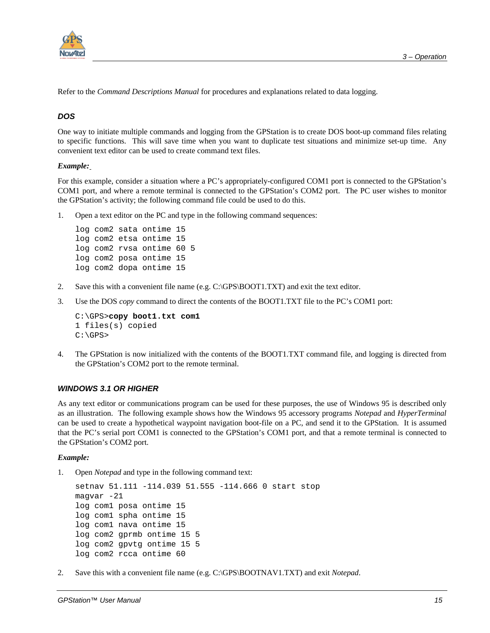

Refer to the *Command Descriptions Manual* for procedures and explanations related to data logging.

#### **DOS**

One way to initiate multiple commands and logging from the GPStation is to create DOS boot-up command files relating to specific functions. This will save time when you want to duplicate test situations and minimize set-up time. Any convenient text editor can be used to create command text files.

#### *Example:*

For this example, consider a situation where a PC's appropriately-configured COM1 port is connected to the GPStation's COM1 port, and where a remote terminal is connected to the GPStation's COM2 port. The PC user wishes to monitor the GPStation's activity; the following command file could be used to do this.

1. Open a text editor on the PC and type in the following command sequences:

```
log com2 sata ontime 15 
log com2 etsa ontime 15 
log com2 rvsa ontime 60 5 
log com2 posa ontime 15 
log com2 dopa ontime 15
```
- 2. Save this with a convenient file name (e.g.  $C:\GPS\mid BOOT1.TXT$ ) and exit the text editor.
- 3. Use the DOS *copy* command to direct the contents of the BOOT1.TXT file to the PC's COM1 port:

```
C:\GPS>copy boot1.txt com1
1 files(s) copied 
C:\GPS>
```
4. The GPStation is now initialized with the contents of the BOOT1.TXT command file, and logging is directed from the GPStation's COM2 port to the remote terminal.

#### **WINDOWS 3.1 OR HIGHER**

As any text editor or communications program can be used for these purposes, the use of Windows 95 is described only as an illustration. The following example shows how the Windows 95 accessory programs *Notepad* and *HyperTerminal* can be used to create a hypothetical waypoint navigation boot-file on a PC, and send it to the GPStation. It is assumed that the PC's serial port COM1 is connected to the GPStation's COM1 port, and that a remote terminal is connected to the GPStation's COM2 port.

#### *Example:*

1. Open *Notepad* and type in the following command text:

```
setnav 51.111 -114.039 51.555 -114.666 0 start stop 
magvar -21 
log com1 posa ontime 15 
log com1 spha ontime 15 
log com1 nava ontime 15 
log com2 gprmb ontime 15 5 
log com2 gpvtg ontime 15 5 
log com2 rcca ontime 60
```
2. Save this with a convenient file name (e.g. C:\GPS\BOOTNAV1.TXT) and exit *Notepad*.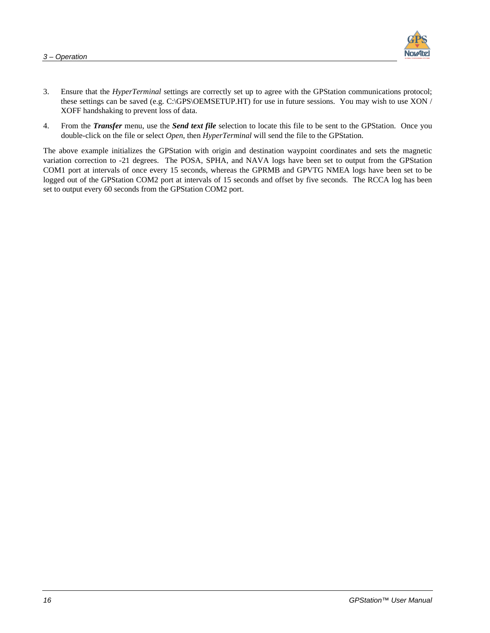

- 3. Ensure that the *HyperTerminal* settings are correctly set up to agree with the GPStation communications protocol; these settings can be saved (e.g. C:\GPS\OEMSETUP.HT) for use in future sessions. You may wish to use XON / XOFF handshaking to prevent loss of data.
- 4. From the *Transfer* menu, use the *Send text file* selection to locate this file to be sent to the GPStation. Once you double-click on the file or select *Open*, then *HyperTerminal* will send the file to the GPStation.

The above example initializes the GPStation with origin and destination waypoint coordinates and sets the magnetic variation correction to -21 degrees. The POSA, SPHA, and NAVA logs have been set to output from the GPStation COM1 port at intervals of once every 15 seconds, whereas the GPRMB and GPVTG NMEA logs have been set to be logged out of the GPStation COM2 port at intervals of 15 seconds and offset by five seconds. The RCCA log has been set to output every 60 seconds from the GPStation COM2 port.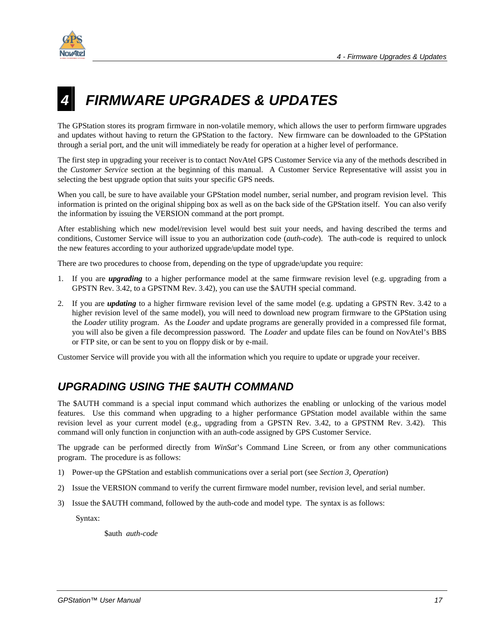<span id="page-24-0"></span>

## **4 FIRMWARE UPGRADES & UPDATES**

The GPStation stores its program firmware in non-volatile memory, which allows the user to perform firmware upgrades and updates without having to return the GPStation to the factory. New firmware can be downloaded to the GPStation through a serial port, and the unit will immediately be ready for operation at a higher level of performance.

The first step in upgrading your receiver is to contact NovAtel GPS Customer Service via any of the methods described in the *Customer Service* section at the beginning of this manual. A Customer Service Representative will assist you in selecting the best upgrade option that suits your specific GPS needs.

When you call, be sure to have available your GPStation model number, serial number, and program revision level. This information is printed on the original shipping box as well as on the back side of the GPStation itself. You can also verify the information by issuing the VERSION command at the port prompt.

After establishing which new model/revision level would best suit your needs, and having described the terms and conditions, Customer Service will issue to you an authorization code (*auth-code*). The auth-code is required to unlock the new features according to your authorized upgrade/update model type.

There are two procedures to choose from, depending on the type of upgrade/update you require:

- 1. If you are *upgrading* to a higher performance model at the same firmware revision level (e.g. upgrading from a GPSTN Rev. 3.42, to a GPSTNM Rev. 3.42), you can use the \$AUTH special command.
- 2. If you are *updating* to a higher firmware revision level of the same model (e.g. updating a GPSTN Rev. 3.42 to a higher revision level of the same model), you will need to download new program firmware to the GPStation using the *Loader* utility program. As the *Loader* and update programs are generally provided in a compressed file format, you will also be given a file decompression password. The *Loader* and update files can be found on NovAtel's BBS or FTP site, or can be sent to you on floppy disk or by e-mail.

Customer Service will provide you with all the information which you require to update or upgrade your receiver.

### **UPGRADING USING THE \$AUTH COMMAND**

The \$AUTH command is a special input command which authorizes the enabling or unlocking of the various model features. Use this command when upgrading to a higher performance GPStation model available within the same revision level as your current model (e.g., upgrading from a GPSTN Rev. 3.42, to a GPSTNM Rev. 3.42). This command will only function in conjunction with an auth-code assigned by GPS Customer Service.

The upgrade can be performed directly from *WinSat*'s Command Line Screen, or from any other communications program. The procedure is as follows:

- 1) Power-up the GPStation and establish communications over a serial port (see *Section 3, Operation*)
- 2) Issue the VERSION command to verify the current firmware model number, revision level, and serial number.
- 3) Issue the \$AUTH command, followed by the auth-code and model type. The syntax is as follows:

Syntax:

\$auth *auth-code*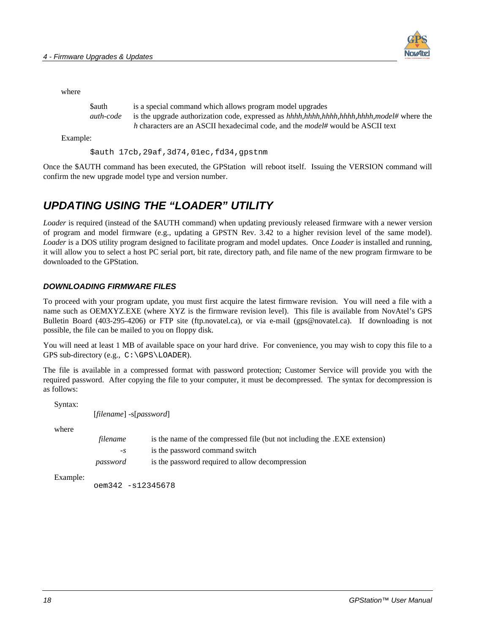

| Sauth     | is a special command which allows program model upgrades                                |
|-----------|-----------------------------------------------------------------------------------------|
| auth-code | is the upgrade authorization code, expressed as $hhhh,hhhh,hhhh,hhhh,model\#$ where the |
|           | h characters are an ASCII hexadecimal code, and the <i>model#</i> would be ASCII text   |
|           |                                                                                         |

Example:

\$auth 17cb,29af,3d74,01ec,fd34,gpstnm

Once the \$AUTH command has been executed, the GPStation will reboot itself. Issuing the VERSION command will confirm the new upgrade model type and version number.

#### **UPDATING USING THE "LOADER" UTILITY**

*Loader* is required (instead of the \$AUTH command) when updating previously released firmware with a newer version of program and model firmware (e.g., updating a GPSTN Rev. 3.42 to a higher revision level of the same model). *Loader* is a DOS utility program designed to facilitate program and model updates. Once *Loader* is installed and running, it will allow you to select a host PC serial port, bit rate, directory path, and file name of the new program firmware to be downloaded to the GPStation.

#### **DOWNLOADING FIRMWARE FILES**

To proceed with your program update, you must first acquire the latest firmware revision. You will need a file with a name such as OEMXYZ.EXE (where XYZ is the firmware revision level). This file is available from NovAtel's GPS Bulletin Board (403-295-4206) or FTP site (ftp.novatel.ca), or via e-mail (gps@novatel.ca). If downloading is not possible, the file can be mailed to you on floppy disk.

You will need at least 1 MB of available space on your hard drive. For convenience, you may wish to copy this file to a GPS sub-directory (e.g., C:\GPS\LOADER).

The file is available in a compressed format with password protection; Customer Service will provide you with the required password. After copying the file to your computer, it must be decompressed. The syntax for decompression is as follows:

Syntax:

[*filename*] -s[*password*]

where

| filename | is the name of the compressed file (but not including the .EXE extension) |
|----------|---------------------------------------------------------------------------|
| $-S$     | is the password command switch                                            |
| password | is the password required to allow decompression                           |

Example:

oem342 -s12345678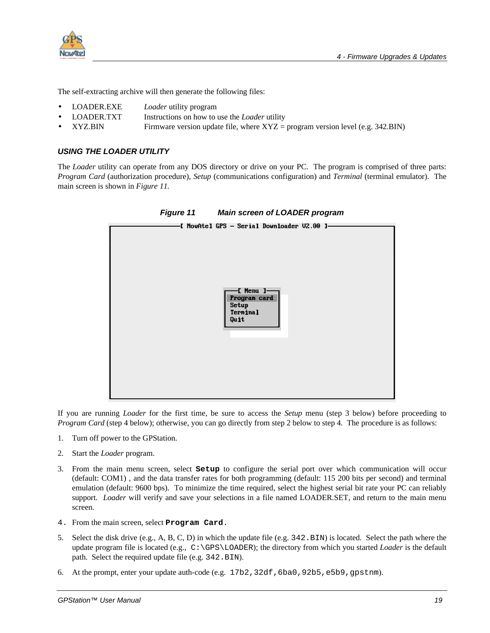

The self-extracting archive will then generate the following files:

- LOADER.EXE *Loader* utility program
- LOADER.TXT Instructions on how to use the *Loader* utility
- $XYZ.BIN$  Firmware version update file, where  $XYZ = program$  version level (e.g. 342.BIN)

#### **USING THE LOADER UTILITY**

The *Loader* utility can operate from any DOS directory or drive on your PC. The program is comprised of three parts: *Program Card* (authorization procedure), *Setup* (communications configuration) and *Terminal* (terminal emulator). The main screen is shown in *Figure 11.* 



If you are running *Loader* for the first time, be sure to access the *Setup* menu (step 3 below) before proceeding to *Program Card* (step 4 below); otherwise, you can go directly from step 2 below to step 4. The procedure is as follows:

- 1. Turn off power to the GPStation.
- 2. Start the *Loader* program.
- 3. From the main menu screen, select **Setup** to configure the serial port over which communication will occur (default: COM1) , and the data transfer rates for both programming (default: 115 200 bits per second) and terminal emulation (default: 9600 bps). To minimize the time required, select the highest serial bit rate your PC can reliably support. *Loader* will verify and save your selections in a file named LOADER.SET, and return to the main menu screen.
- 4. From the main screen, select **Program Card**.
- 5. Select the disk drive (e.g., A, B, C, D) in which the update file (e.g. 342.BIN) is located. Select the path where the update program file is located (e.g., C:\GPS\LOADER); the directory from which you started *Loader* is the default path. Select the required update file (e.g. 342. BIN).
- 6. At the prompt, enter your update auth-code (e.g. 17b2,32df,6ba0,92b5,e5b9,gpstnm).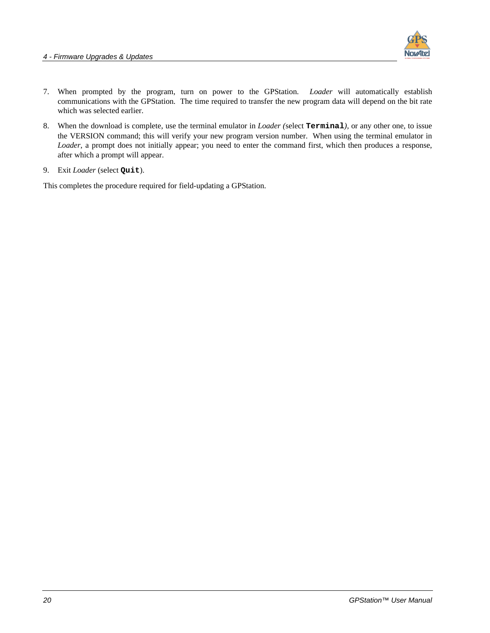

- 7. When prompted by the program, turn on power to the GPStation. *Loader* will automatically establish communications with the GPStation. The time required to transfer the new program data will depend on the bit rate which was selected earlier.
- 8. When the download is complete, use the terminal emulator in *Loader (*select **Terminal***)*, or any other one, to issue the VERSION command; this will verify your new program version number. When using the terminal emulator in *Loader*, a prompt does not initially appear; you need to enter the command first, which then produces a response, after which a prompt will appear.
- 9. Exit *Loader* (select **Quit**).

This completes the procedure required for field-updating a GPStation.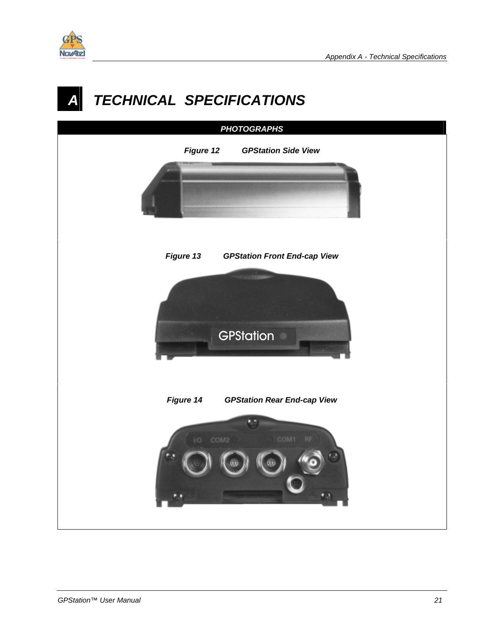<span id="page-28-0"></span>

## **TECHNICAL SPECIFICATIONS**

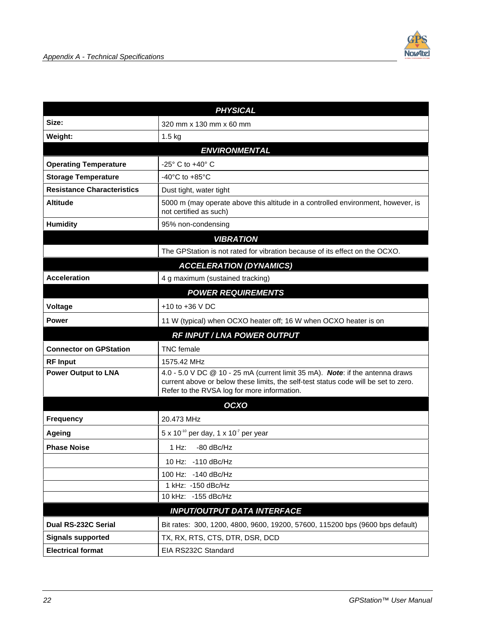

|                                                                    | <b>PHYSICAL</b>                                                                                                                                                                                                     |  |  |
|--------------------------------------------------------------------|---------------------------------------------------------------------------------------------------------------------------------------------------------------------------------------------------------------------|--|--|
| Size:                                                              | 320 mm x 130 mm x 60 mm                                                                                                                                                                                             |  |  |
| Weight:                                                            | $1.5$ kg                                                                                                                                                                                                            |  |  |
|                                                                    | <b>ENVIRONMENTAL</b>                                                                                                                                                                                                |  |  |
| $-25^\circ$ C to $+40^\circ$ C<br><b>Operating Temperature</b>     |                                                                                                                                                                                                                     |  |  |
| <b>Storage Temperature</b><br>-40 $^{\circ}$ C to +85 $^{\circ}$ C |                                                                                                                                                                                                                     |  |  |
| <b>Resistance Characteristics</b><br>Dust tight, water tight       |                                                                                                                                                                                                                     |  |  |
| <b>Altitude</b>                                                    | 5000 m (may operate above this altitude in a controlled environment, however, is<br>not certified as such)                                                                                                          |  |  |
| <b>Humidity</b>                                                    | 95% non-condensing                                                                                                                                                                                                  |  |  |
|                                                                    | <b>VIBRATION</b>                                                                                                                                                                                                    |  |  |
|                                                                    | The GPStation is not rated for vibration because of its effect on the OCXO.                                                                                                                                         |  |  |
|                                                                    | <b>ACCELERATION (DYNAMICS)</b>                                                                                                                                                                                      |  |  |
| <b>Acceleration</b>                                                | 4 g maximum (sustained tracking)                                                                                                                                                                                    |  |  |
|                                                                    | <b>POWER REQUIREMENTS</b>                                                                                                                                                                                           |  |  |
| Voltage                                                            | $+10$ to $+36$ V DC                                                                                                                                                                                                 |  |  |
| <b>Power</b>                                                       | 11 W (typical) when OCXO heater off; 16 W when OCXO heater is on                                                                                                                                                    |  |  |
| RF INPUT / LNA POWER OUTPUT                                        |                                                                                                                                                                                                                     |  |  |
|                                                                    |                                                                                                                                                                                                                     |  |  |
| <b>Connector on GPStation</b>                                      | <b>TNC</b> female                                                                                                                                                                                                   |  |  |
| <b>RF Input</b>                                                    | 1575.42 MHz                                                                                                                                                                                                         |  |  |
| <b>Power Output to LNA</b>                                         | 4.0 - 5.0 V DC @ 10 - 25 mA (current limit 35 mA). Note: if the antenna draws<br>current above or below these limits, the self-test status code will be set to zero.<br>Refer to the RVSA log for more information. |  |  |
|                                                                    | OCXO                                                                                                                                                                                                                |  |  |
| <b>Frequency</b>                                                   | 20.473 MHz                                                                                                                                                                                                          |  |  |
| <b>Ageing</b>                                                      | $5 \times 10^{-10}$ per day, 1 x 10 <sup>-7</sup> per year                                                                                                                                                          |  |  |
| <b>Phase Noise</b>                                                 | -80 dBc/Hz<br>1 Hz:                                                                                                                                                                                                 |  |  |
|                                                                    | 10 Hz: - 110 dBc/Hz                                                                                                                                                                                                 |  |  |
|                                                                    | -140 dBc/Hz<br>100 Hz:                                                                                                                                                                                              |  |  |
|                                                                    | 1 kHz: -150 dBc/Hz                                                                                                                                                                                                  |  |  |
|                                                                    | 10 kHz: -155 dBc/Hz                                                                                                                                                                                                 |  |  |
|                                                                    | <b>INPUT/OUTPUT DATA INTERFACE</b>                                                                                                                                                                                  |  |  |
| Dual RS-232C Serial                                                | Bit rates: 300, 1200, 4800, 9600, 19200, 57600, 115200 bps (9600 bps default)                                                                                                                                       |  |  |
| <b>Signals supported</b><br><b>Electrical format</b>               | TX, RX, RTS, CTS, DTR, DSR, DCD<br>EIA RS232C Standard                                                                                                                                                              |  |  |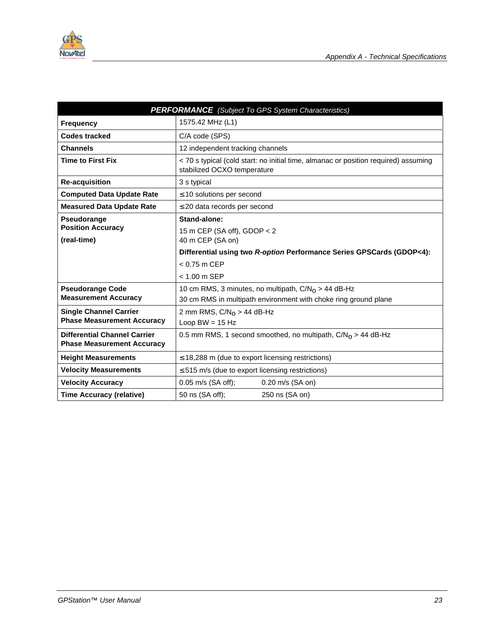

| <b>PERFORMANCE</b> (Subject To GPS System Characteristics)               |                                                                                                                    |  |  |
|--------------------------------------------------------------------------|--------------------------------------------------------------------------------------------------------------------|--|--|
| <b>Frequency</b>                                                         | 1575.42 MHz (L1)                                                                                                   |  |  |
| <b>Codes tracked</b>                                                     | C/A code (SPS)                                                                                                     |  |  |
| <b>Channels</b>                                                          | 12 independent tracking channels                                                                                   |  |  |
| <b>Time to First Fix</b>                                                 | < 70 s typical (cold start: no initial time, almanac or position required) assuming<br>stabilized OCXO temperature |  |  |
| <b>Re-acquisition</b>                                                    | 3 s typical                                                                                                        |  |  |
| <b>Computed Data Update Rate</b>                                         | $\leq$ 10 solutions per second                                                                                     |  |  |
| <b>Measured Data Update Rate</b>                                         | $\leq$ 20 data records per second                                                                                  |  |  |
| Pseudorange                                                              | Stand-alone:                                                                                                       |  |  |
| <b>Position Accuracy</b>                                                 | 15 m CEP (SA off), GDOP $<$ 2                                                                                      |  |  |
| (real-time)                                                              | 40 m CEP (SA on)                                                                                                   |  |  |
|                                                                          | Differential using two R-option Performance Series GPSCards (GDOP<4):                                              |  |  |
|                                                                          | $< 0.75$ m CEP                                                                                                     |  |  |
|                                                                          | < 1.00 m SEP                                                                                                       |  |  |
| <b>Pseudorange Code</b>                                                  | 10 cm RMS, 3 minutes, no multipath, $C/N0 > 44$ dB-Hz                                                              |  |  |
| <b>Measurement Accuracy</b>                                              | 30 cm RMS in multipath environment with choke ring ground plane                                                    |  |  |
| <b>Single Channel Carrier</b>                                            | 2 mm RMS, $C/N_0 > 44$ dB-Hz                                                                                       |  |  |
| <b>Phase Measurement Accuracy</b>                                        | Loop $BW = 15 Hz$                                                                                                  |  |  |
| <b>Differential Channel Carrier</b><br><b>Phase Measurement Accuracy</b> | 0.5 mm RMS, 1 second smoothed, no multipath, $C/NO > 44$ dB-Hz                                                     |  |  |
| <b>Height Measurements</b>                                               | $\leq$ 18,288 m (due to export licensing restrictions)                                                             |  |  |
| <b>Velocity Measurements</b>                                             | $\leq$ 515 m/s (due to export licensing restrictions)                                                              |  |  |
| <b>Velocity Accuracy</b>                                                 | 0.05 m/s (SA off);<br>$0.20$ m/s (SA on)                                                                           |  |  |
| <b>Time Accuracy (relative)</b>                                          | 50 ns (SA off);<br>250 ns (SA on)                                                                                  |  |  |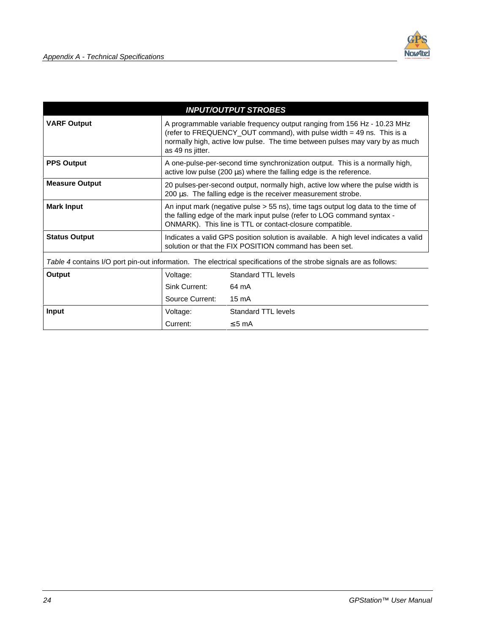|                                                                                                                    |                                                                                                                                                                                                                                                       | <b>INPUT/OUTPUT STROBES</b> |  |
|--------------------------------------------------------------------------------------------------------------------|-------------------------------------------------------------------------------------------------------------------------------------------------------------------------------------------------------------------------------------------------------|-----------------------------|--|
| <b>VARF Output</b>                                                                                                 | A programmable variable frequency output ranging from 156 Hz - 10.23 MHz<br>(refer to FREQUENCY_OUT command), with pulse width = 49 ns. This is a<br>normally high, active low pulse. The time between pulses may vary by as much<br>as 49 ns jitter. |                             |  |
| <b>PPS Output</b>                                                                                                  | A one-pulse-per-second time synchronization output. This is a normally high,<br>active low pulse $(200 \mu s)$ where the falling edge is the reference.                                                                                               |                             |  |
| <b>Measure Output</b>                                                                                              | 20 pulses-per-second output, normally high, active low where the pulse width is<br>200 µs. The falling edge is the receiver measurement strobe.                                                                                                       |                             |  |
| <b>Mark Input</b>                                                                                                  | An input mark (negative pulse $>$ 55 ns), time tags output log data to the time of<br>the falling edge of the mark input pulse (refer to LOG command syntax -<br>ONMARK). This line is TTL or contact-closure compatible.                             |                             |  |
| <b>Status Output</b>                                                                                               | Indicates a valid GPS position solution is available. A high level indicates a valid<br>solution or that the FIX POSITION command has been set.                                                                                                       |                             |  |
| Table 4 contains I/O port pin-out information. The electrical specifications of the strobe signals are as follows: |                                                                                                                                                                                                                                                       |                             |  |
| Output                                                                                                             | Voltage:                                                                                                                                                                                                                                              | <b>Standard TTL levels</b>  |  |
|                                                                                                                    | Sink Current:                                                                                                                                                                                                                                         | 64 mA                       |  |
|                                                                                                                    | Source Current:                                                                                                                                                                                                                                       | 15 mA                       |  |
| Input                                                                                                              | Voltage:                                                                                                                                                                                                                                              | <b>Standard TTL levels</b>  |  |
|                                                                                                                    | Current:                                                                                                                                                                                                                                              | $\leq$ 5 mA                 |  |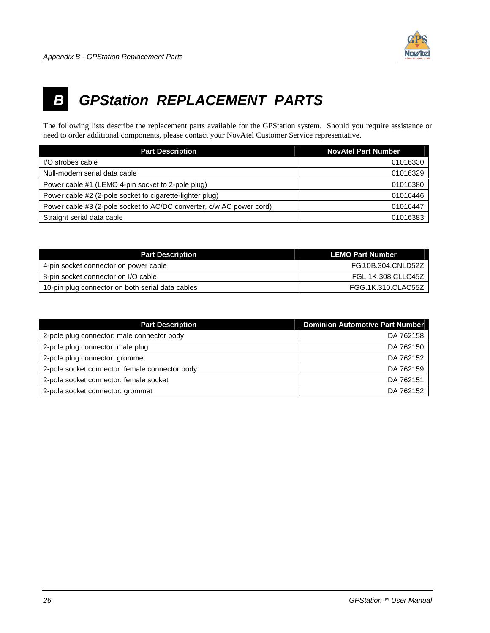

## <span id="page-33-0"></span>**B GPStation REPLACEMENT PARTS**

The following lists describe the replacement parts available for the GPStation system. Should you require assistance or need to order additional components, please contact your NovAtel Customer Service representative.

| <b>Part Description</b>                                              | <b>NovAtel Part Number</b> |
|----------------------------------------------------------------------|----------------------------|
| I/O strobes cable                                                    | 01016330                   |
| Null-modem serial data cable                                         | 01016329                   |
| Power cable #1 (LEMO 4-pin socket to 2-pole plug)                    | 01016380                   |
| Power cable #2 (2-pole socket to cigarette-lighter plug)             | 01016446                   |
| Power cable #3 (2-pole socket to AC/DC converter, c/w AC power cord) | 01016447                   |
| Straight serial data cable                                           | 01016383                   |

| <b>Part Description</b>                          | <b>LEMO Part Number</b> |
|--------------------------------------------------|-------------------------|
| 4-pin socket connector on power cable            | FGJ.0B.304.CNLD52Z      |
| 8-pin socket connector on I/O cable              | FGL.1K.308.CLLC45Z      |
| 10-pin plug connector on both serial data cables | FGG.1K.310.CLAC55Z      |

| <b>Part Description</b>                        | <b>Dominion Automotive Part Number</b> |
|------------------------------------------------|----------------------------------------|
| 2-pole plug connector: male connector body     | DA 762158                              |
| 2-pole plug connector: male plug               | DA 762150                              |
| 2-pole plug connector: grommet                 | DA 762152                              |
| 2-pole socket connector: female connector body | DA 762159                              |
| 2-pole socket connector: female socket         | DA 762151                              |
| 2-pole socket connector: grommet               | DA 762152                              |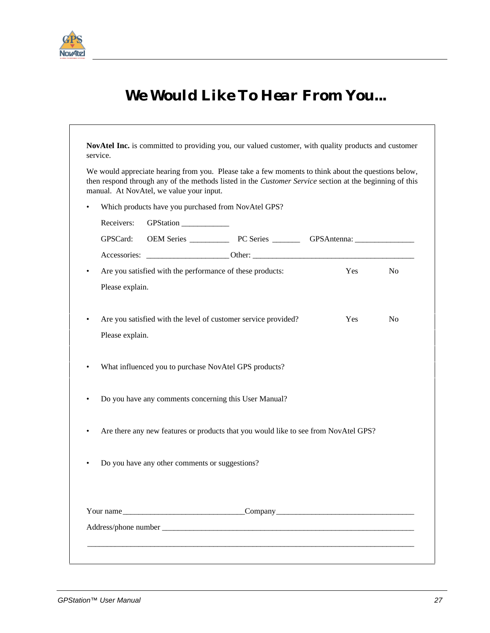<span id="page-34-0"></span>

 $\Gamma$ 

## *We Would Like To Hear From You...*

|           |                 | manual. At NovAtel, we value your input.       | We would appreciate hearing from you. Please take a few moments to think about the questions below,<br>then respond through any of the methods listed in the <i>Customer Service</i> section at the beginning of this |     |           |
|-----------|-----------------|------------------------------------------------|-----------------------------------------------------------------------------------------------------------------------------------------------------------------------------------------------------------------------|-----|-----------|
| $\bullet$ |                 |                                                | Which products have you purchased from NovAtel GPS?                                                                                                                                                                   |     |           |
|           | Receivers:      | GPStation ____________                         |                                                                                                                                                                                                                       |     |           |
|           | GPSCard:        |                                                |                                                                                                                                                                                                                       |     |           |
|           |                 |                                                |                                                                                                                                                                                                                       |     |           |
| $\bullet$ |                 |                                                | Are you satisfied with the performance of these products:                                                                                                                                                             | Yes | <b>No</b> |
|           | Please explain. |                                                |                                                                                                                                                                                                                       |     |           |
|           | Please explain. |                                                | Are you satisfied with the level of customer service provided?                                                                                                                                                        |     |           |
| $\bullet$ |                 |                                                | What influenced you to purchase NovAtel GPS products?                                                                                                                                                                 |     |           |
|           |                 |                                                | Do you have any comments concerning this User Manual?                                                                                                                                                                 |     |           |
|           |                 |                                                | Are there any new features or products that you would like to see from NovAtel GPS?                                                                                                                                   |     |           |
|           |                 | Do you have any other comments or suggestions? |                                                                                                                                                                                                                       |     |           |
|           |                 | Your name                                      |                                                                                                                                                                                                                       |     |           |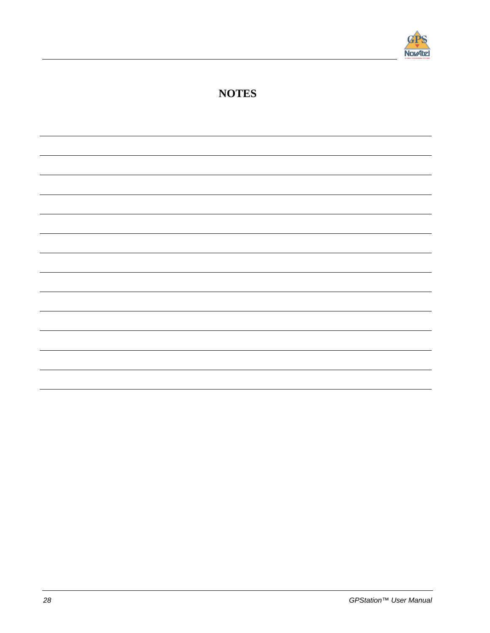

### **NOTES**

28 GPStation™ User Manual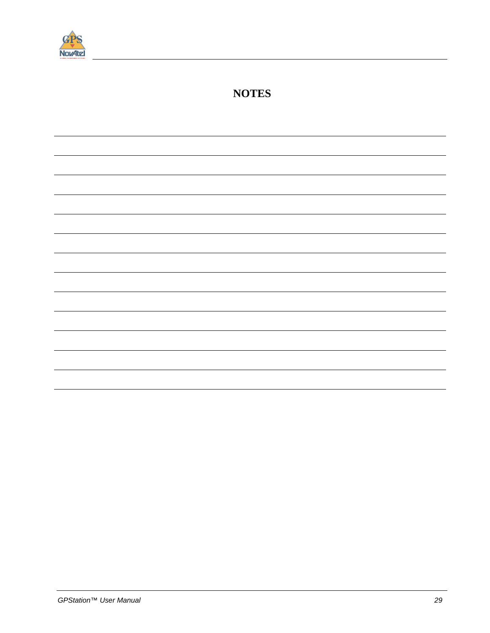

### **NOTES**